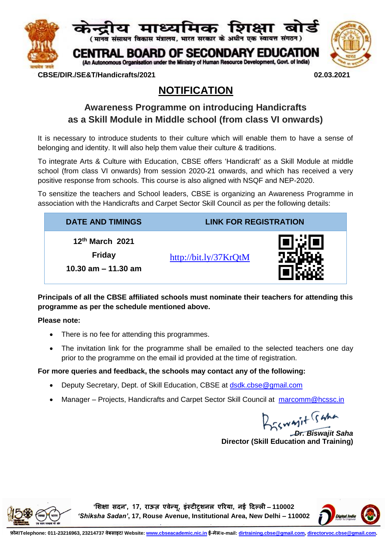

#### **CBSE/DIR./SE&T/Handicrafts/2021 02.03.2021**

# **NOTIFICATION**

## **Awareness Programme on introducing Handicrafts as a Skill Module in Middle school (from class VI onwards)**

It is necessary to introduce students to their culture which will enable them to have a sense of belonging and identity. It will also help them value their culture & traditions.

To integrate Arts & Culture with Education, CBSE offers 'Handicraft' as a Skill Module at middle school (from class VI onwards) from session 2020-21 onwards, and which has received a very positive response from schools. This course is also aligned with NSQF and NEP-2020.

To sensitize the teachers and School leaders, CBSE is organizing an Awareness Programme in association with the Handicrafts and Carpet Sector Skill Council as per the following details:

| <b>DATE AND TIMINGS</b>                                     | <b>LINK FOR REGISTRATION</b> |  |
|-------------------------------------------------------------|------------------------------|--|
| $12th$ March 2021<br><b>Friday</b><br>10.30 am $-$ 11.30 am | http://bit.ly/37 $KrQtM$     |  |

**Principals of all the CBSE affiliated schools must nominate their teachers for attending this programme as per the schedule mentioned above.** 

**Please note:**

- There is no fee for attending this programmes.
- The invitation link for the programme shall be emailed to the selected teachers one day prior to the programme on the email id provided at the time of registration.

### **For more queries and feedback, the schools may contact any of the following:**

- Deputy Secretary, Dept. of Skill Education, CBSE at [dsdk.cbse@gmail.com](mailto:dsdk.cbse@gmail.com)
- Manager Projects, Handicrafts and Carpet Sector Skill Council at [marcomm@hcssc.in](mailto:marcomm@hcssc.in)

*Dr. Biswajit Saha*

**Director (Skill Education and Training)**



**'शिक्षा सदन', 17, राऊज़ एवेन्यू, इंस्टीटूशनल एरिया, नई ददल्ली** – **110002**  *'Shiksha Sadan'***, 17, Rouse Avenue, Institutional Area, New Delhi – 110002**